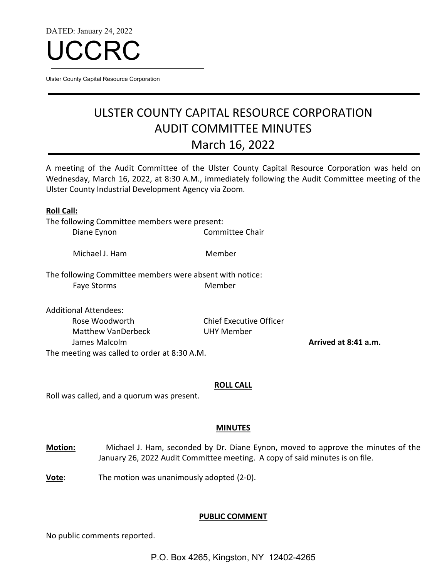DATED: January 24, 2022



Ulster County Capital Resource Corporation

# ULSTER COUNTY CAPITAL RESOURCE CORPORATION AUDIT COMMITTEE MINUTES March 16, 2022

A meeting of the Audit Committee of the Ulster County Capital Resource Corporation was held on Wednesday, March 16, 2022, at 8:30 A.M., immediately following the Audit Committee meeting of the Ulster County Industrial Development Agency via Zoom.

| <b>Roll Call:</b>                                        |                                |                      |
|----------------------------------------------------------|--------------------------------|----------------------|
| The following Committee members were present:            |                                |                      |
| Diane Eynon                                              | Committee Chair                |                      |
| Michael J. Ham                                           | Member                         |                      |
| The following Committee members were absent with notice: |                                |                      |
| <b>Faye Storms</b>                                       | Member                         |                      |
| <b>Additional Attendees:</b>                             |                                |                      |
| Rose Woodworth                                           | <b>Chief Executive Officer</b> |                      |
| Matthew VanDerbeck                                       | UHY Member                     |                      |
| James Malcolm                                            |                                | Arrived at 8:41 a.m. |
| The meeting was called to order at 8:30 A.M.             |                                |                      |

#### **ROLL CALL**

Roll was called, and a quorum was present.

#### **MINUTES**

**Motion:** Michael J. Ham, seconded by Dr. Diane Eynon, moved to approve the minutes of the January 26, 2022 Audit Committee meeting. A copy of said minutes is on file.

**Vote**: The motion was unanimously adopted (2-0).

# **PUBLIC COMMENT**

No public comments reported.

P.O. Box 4265, Kingston, NY 12402-4265